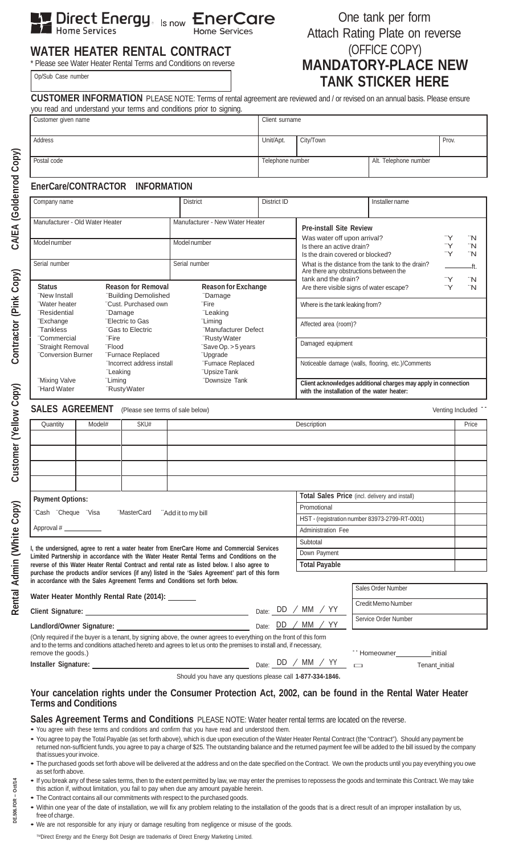**Ly Direct Energy.** Is now EnerCare

One tank per form Attach Rating Plate on reverse (OFFICE COPY)

# **WATER HEATER RENTAL CONTRACT**

\* Please see Water Heater Rental Terms and Conditions on reverse Op/Sub Case number

# **MANDATORY-PLACE NEW TANK STICKER HERE**

| Customer given name                                                                              |         |                                                  |                                                                                                                      |                                 | Client surname                                                                                               |                                                                                            |         |      |  |  |  |  |  |
|--------------------------------------------------------------------------------------------------|---------|--------------------------------------------------|----------------------------------------------------------------------------------------------------------------------|---------------------------------|--------------------------------------------------------------------------------------------------------------|--------------------------------------------------------------------------------------------|---------|------|--|--|--|--|--|
| Address                                                                                          |         |                                                  |                                                                                                                      | Unit/Apt.                       | City/Town                                                                                                    |                                                                                            | Prov.   |      |  |  |  |  |  |
| Postal code                                                                                      |         |                                                  |                                                                                                                      | Telephone number                |                                                                                                              | Alt. Telephone number                                                                      |         |      |  |  |  |  |  |
|                                                                                                  |         |                                                  |                                                                                                                      |                                 |                                                                                                              |                                                                                            |         |      |  |  |  |  |  |
|                                                                                                  |         | EnerCare/CONTRACTOR INFORMATION                  |                                                                                                                      |                                 |                                                                                                              |                                                                                            |         |      |  |  |  |  |  |
| Company name                                                                                     |         |                                                  | <b>District</b>                                                                                                      | District ID                     |                                                                                                              | Installer name                                                                             |         |      |  |  |  |  |  |
| Manufacturer - Old Water Heater                                                                  |         |                                                  | Manufacturer - New Water Heater                                                                                      |                                 | <b>Pre-install Site Review</b>                                                                               |                                                                                            |         |      |  |  |  |  |  |
| Model number                                                                                     |         |                                                  | Model number                                                                                                         |                                 | Was water off upon arrival?<br>`Y<br>Is there an active drain?<br>`Y                                         |                                                                                            |         |      |  |  |  |  |  |
|                                                                                                  |         |                                                  |                                                                                                                      |                                 | "Y<br>Is the drain covered or blocked?                                                                       |                                                                                            |         |      |  |  |  |  |  |
| Serial number                                                                                    |         |                                                  | Serial number                                                                                                        |                                 |                                                                                                              | What is the distance from the tank to the drain?<br>Are there any obstructions between the |         | –ft. |  |  |  |  |  |
|                                                                                                  |         |                                                  |                                                                                                                      |                                 | tank and the drain?                                                                                          |                                                                                            | "Y      | ïΝ   |  |  |  |  |  |
| <b>Status</b>                                                                                    |         | <b>Reason for Removal</b>                        |                                                                                                                      | <b>Reason for Exchange</b>      |                                                                                                              | Are there visible signs of water escape?                                                   | "Y      | "N   |  |  |  |  |  |
| "New Install                                                                                     |         | "Building Demolished                             | "Damage                                                                                                              |                                 |                                                                                                              |                                                                                            |         |      |  |  |  |  |  |
| "Water heater<br><b>Residential</b>                                                              |         | "Cust. Purchased own<br>"Damage                  | "Fire                                                                                                                | Where is the tank leaking from? |                                                                                                              |                                                                                            |         |      |  |  |  |  |  |
| "Exchange                                                                                        |         | "Electric to Gas                                 | "Leaking<br>"Liming                                                                                                  |                                 |                                                                                                              |                                                                                            |         |      |  |  |  |  |  |
| "Tankless                                                                                        |         | "Gas to Electric                                 |                                                                                                                      | "Manufacturer Defect            | Affected area (room)?                                                                                        |                                                                                            |         |      |  |  |  |  |  |
| "Commercial                                                                                      | "Fire   |                                                  | "Rusty Water                                                                                                         |                                 | Damaged equipment                                                                                            |                                                                                            |         |      |  |  |  |  |  |
| "Straight Removal                                                                                | "Flood  |                                                  | "Save Op. > 5 years                                                                                                  |                                 |                                                                                                              |                                                                                            |         |      |  |  |  |  |  |
| "Conversion Burner                                                                               |         | "Furnace Replaced<br>"Incorrect address install  | "Upgrade<br>"Furnace Replaced                                                                                        |                                 | Noticeable damage (walls, flooring, etc.)/Comments                                                           |                                                                                            |         |      |  |  |  |  |  |
|                                                                                                  |         | "Leaking                                         | "Upsize Tank                                                                                                         |                                 |                                                                                                              |                                                                                            |         |      |  |  |  |  |  |
| "Mixing Valve<br>"Hard Water                                                                     | "Liming | "Rusty Water                                     | "Downsize Tank                                                                                                       |                                 | Client acknowledges additional charges may apply in connection<br>with the installation of the water heater: |                                                                                            |         |      |  |  |  |  |  |
| <b>SALES AGREEMENT</b>                                                                           |         | (Please see terms of sale below)                 |                                                                                                                      |                                 |                                                                                                              |                                                                                            |         |      |  |  |  |  |  |
| Quantity                                                                                         | Model#  | SKU#                                             |                                                                                                                      |                                 |                                                                                                              | Venting Included<br>Price                                                                  |         |      |  |  |  |  |  |
|                                                                                                  |         |                                                  |                                                                                                                      |                                 | Description                                                                                                  |                                                                                            |         |      |  |  |  |  |  |
|                                                                                                  |         |                                                  |                                                                                                                      |                                 |                                                                                                              |                                                                                            |         |      |  |  |  |  |  |
|                                                                                                  |         |                                                  |                                                                                                                      |                                 |                                                                                                              |                                                                                            |         |      |  |  |  |  |  |
|                                                                                                  |         |                                                  |                                                                                                                      |                                 |                                                                                                              |                                                                                            |         |      |  |  |  |  |  |
| <b>Payment Options:</b>                                                                          |         |                                                  |                                                                                                                      |                                 |                                                                                                              | Total Sales Price (incl. delivery and install)                                             |         |      |  |  |  |  |  |
|                                                                                                  |         |                                                  |                                                                                                                      |                                 | Promotional                                                                                                  |                                                                                            |         |      |  |  |  |  |  |
| "Cash "Cheque "Visa                                                                              |         | "MasterCard "Add it to my bill                   |                                                                                                                      |                                 |                                                                                                              | HST - (registration number 83973-2799-RT-0001)                                             |         |      |  |  |  |  |  |
| Approval #                                                                                       |         |                                                  |                                                                                                                      |                                 | Administration Fee                                                                                           |                                                                                            |         |      |  |  |  |  |  |
|                                                                                                  |         |                                                  |                                                                                                                      |                                 | Subtotal                                                                                                     |                                                                                            |         |      |  |  |  |  |  |
|                                                                                                  |         |                                                  | I, the undersigned, agree to rent a water heater from EnerCare Home and Commercial Services                          |                                 |                                                                                                              |                                                                                            |         |      |  |  |  |  |  |
|                                                                                                  |         |                                                  | Limited Partnership in accordance with the Water Heater Rental Terms and Conditions on the                           |                                 | Down Payment                                                                                                 |                                                                                            |         |      |  |  |  |  |  |
|                                                                                                  |         |                                                  | reverse of this Water Heater Rental Contract and rental rate as listed below. I also agree to                        |                                 | <b>Total Payable</b>                                                                                         |                                                                                            |         |      |  |  |  |  |  |
|                                                                                                  |         |                                                  | in accordance with the Sales Agreement Terms and Conditions set forth below.                                         |                                 |                                                                                                              |                                                                                            |         |      |  |  |  |  |  |
|                                                                                                  |         |                                                  |                                                                                                                      |                                 |                                                                                                              | Sales Order Number                                                                         |         |      |  |  |  |  |  |
|                                                                                                  |         | Water Heater Monthly Rental Rate (2014): _______ |                                                                                                                      |                                 |                                                                                                              |                                                                                            |         |      |  |  |  |  |  |
|                                                                                                  |         |                                                  |                                                                                                                      |                                 |                                                                                                              | Credit Memo Number                                                                         |         |      |  |  |  |  |  |
| purchase the products and/or services (if any) listed in the 'Sales Agreement' part of this form |         |                                                  |                                                                                                                      |                                 | Date: DD / MM / YY                                                                                           | Service Order Number                                                                       |         |      |  |  |  |  |  |
|                                                                                                  |         |                                                  | (Only required if the buyer is a tenant, by signing above, the owner agrees to everything on the front of this form  |                                 |                                                                                                              |                                                                                            |         |      |  |  |  |  |  |
| remove the goods.)                                                                               |         |                                                  | and to the terms and conditions attached hereto and agrees to let us onto the premises to install and, if necessary, |                                 | Date: $DD / MM / YY$                                                                                         | <sup>--</sup> Homeowner                                                                    | initial |      |  |  |  |  |  |

Should you have any questions please call **1-877-334-1846.**

## **Your cancelation rights under the Consumer Protection Act, 2002, can be found in the Rental Water Heater Terms and Conditions**

**Sales Agreement Terms and Conditions** PLEASE NOTE: Water heater rental terms are located on the reverse.

- You agree with these terms and conditions and confirm that you have read and understood them.
- You agree to pay the Total Payable (as set forth above), which is due upon execution of the Water Heater Rental Contract (the "Contract"). Should any payment be returned non-sufficient funds, you agree to pay a charge of \$25. The outstanding balance and the returned payment fee will be added to the bill issued by the company that issues your invoice.
- The purchased goods set forth above will be delivered at the address and on the date specified on the Contract. We own the products until you pay everything you owe as set forth above.
- If you break any of these sales terms, then to the extent permitted by law, we may enter the premises to repossess the goods and terminate this Contract. We may take this action if, without limitation, you fail to pay when due any amount payable herein.
- The Contract contains all our commitments with respect to the purchased goods.
- Within one year of the date of installation, we will fix any problem relating to the installation of the goods that is a direct result of an improper installation by us, free of charge.
- We are not responsible for any injury or damage resulting from negligence or misuse of the goods.

™Direct Energy and the Energy Bolt Design are trademarks of Direct Energy Marketing Limited.

# **Copy) C usto mer (Yello wCopy) C ontra ctor (Pin kCopy) C**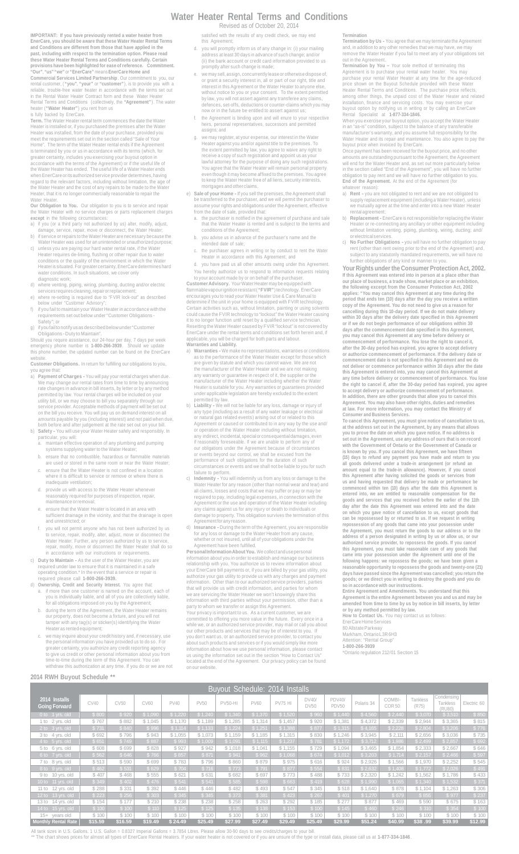### **Water Heater Rental Terms and Conditions**

Revised as of October 20, 2014

satisfied with the results of any credit check, we may end this Agreement;

- d. you will promptly inform us of any change in: (i) your mailing address at least 30 days in advance of such change; and/or (ii) the bank account or credit card information provided to us promptly after such change is made;
- e. we may sell, assign, concurrently lease or otherwise dispose of, or grant a security interest in, all or part of our right, title and interest in this Agreement or the Water Heater to anyone else,<br>without notice to you or your consent. To the extent permitted<br>by law, you will not assert against any transferee any claims,<br>defences, set-offs, deductions or
- f. the Agreement is binding upon and will enure to your respective heirs, personal representatives, successors and permitted .<br>\s; and
- g. we may register, at your expense, our interest in the Water Heater against you and/or against title to the premises. To<br>the extent permitted by law, you agree to waive any right to<br>receive a copy of such registration and appoint us as your<br>lawful attorney for the purpose of doing a to keep the Water Heater free of all liens, security interests prtgages and other claims.
- e) **Sale of your Home -** If you sell the premises, the Agreement shall be transferred to the purchaser, and we will permit the purchaser to assume your rights and obligations under the Agreement, effective from the date of sale, provided that:
	- a. the purchaser is notified in the agreement of purchase and sale that the Water Heater is rented and is subject to the terms and conditions of the Agreement;
	- b. you advise us in advance of the purchaser's name and the intended date of sale;
	- c. the purchaser agrees in writing or by conduct to rent the Water Heater in accordance with this Agreement; and
- you have paid us all other amounts owing under this Agreement

You hereby authorize us to respond to information requests relating<br>to your account made by or on behalf of the purchaser.<br>Customer Advisory. Your Water Heater may be equipped with<br>flammable vapourignition resistant ("FVIR applicable, you will be charged for both parts and labour. **Warranties and Liability.**

- a) **Warranties -** We make no representations, warranties or conditions as to the performance of the Water Heater except for those which are given by statute and which you cannot waive. We are not<br>the manufacturer of the Water Heater and we are not making<br>any warranty or guarantee in respect of it, the supplier or the<br>manufacturer of the Water Heater includ
- permitted by law. b) **Liability -** We will not be liable for any loss, damage or injury of any type (including as a result of any water leakage or electrical<br>or natural gas related events) arising out of or related to this<br>Agreement or caused or contributed to in any way by the use and/<br>or operation of the Water our obligations under the Agreement because of circumstances or events beyond our control, we shall be excused from the performance of such obligations for the duration of such<br>circumstances or events and we shall not be liable to you for such<br>failure to perform.<br>C) Indemnity - You will indemnify us from any loss or damage to the
- Water Heater for any reason (other than normal wear and tear) and all claims, losses and costs that we may suffer or pay or may be required to pay, including legal expenses, in connection with the<br>Agreement or the use and operation of the Water Heater including<br>any claims against us for any injury or death to individuals or<br>damage to property. This ob
- d) **Insurance -** During the term of the Agreement, you are responsible for any loss or damage to the Water Heater from any cause, whether or not insured, until all of your obligations under the

Agreement have been fulfilled.<br>**Personal Information About You.** We collect and use personal<br>information about you in order to establish and manage our business<br>relationship with you. You authorize us to review information information. Other than to our authorized service providers, parties that will provide us with credit information, and parties for whom<br>we are servicing the Water Heater we won't knowingly share this<br>information with third parties without your permission, other than a<br>party to whom we trans committed to offering you more value in the future. Every once in a while we, or an authorized service provider, may mail or call you about our other products and services that may be of interest to you. If<br>you don't want us, or an authorized service provider, to contact you<br>about such products and services or if you would simply like more<br>information about ho located at the end of the Agreement. Our privacy policy can be found on our website.

#### **Termination**

**Termination by Us -** You agree that we may terminate the Agreement, in addition to any other remedies that we may have, we may remove the Meter Heater if you fail to meet any of your obligations. and, in addition to any other remedies that we may have, we may remove the Water Heater if you fail to meet any of your obligations set out in the Agreement.<br><mark>Termination by You –</mark> Your sole method of termi

**Termination by You -** Your sole method of terminating this<br>Agreement is to purchase your rental water heater. You may<br>purchase your rental Water Heater at any time for the age-reduced<br>price shown on the Buyout Schedule pr

When you exercise your buyout option, you accept the Water Heater in an "as-is" condition, subject to the balance of any transferable manufacturer's warranty, and you assume full responsibility for the<br>Water Heater and its repair and maintenance. You also agree to pay the<br>buyout price when invoiced by EnerCare.<br>Once payment has been received for the buyo

will end for the Water Heater and, as set out more particularly below in the section called "End of the Agreement", you will have no further obligation to pay rent and we will have no further obligation to you. **End of the Agreement.** At the end of the Agreement (for

- whatever reason):<br>a) **Rent -** you are not obligated to rent and we are not obligated to<br>supply replacement equipment (including a Water Heater), unless<br>we mutually agree at the time and enter into a new Water Heater<br>rental
- b) **Replacement -**EnerCare is not responsible for replacing the Water Heater or re-connecting any ancillary or other equipment including without limitation venting, piping, plumbing, wiring, ducting; and/
- or electrical services. c) **No Further Obligations -** you will have no further obligation to pay rent (other than rent owing prior to the end of the Agreement) and, subject to any statutorily mandated requirements, we will have no further obligations of any kind or manner to you.

**Your Rights under the Consumer Protection Act, 2002.** If this Agreement was entered into in person at a place other than<br>our place of business, a trade show, market place or an exhibition,<br>the following except from the Consumer Protection Act, 2002<br>applies: "You may cancel th cancelling during this 10-day period. If we do not make delivery<br>with 130 days after the delivery date specified in this Agreement<br>or if we do not begin performance of our obligations within 30<br>days after the commencement **or authorize commencement of performance. If the delivery date or commencement date is not specified in this Agreement and we do** not deliver or commence performance within 30 days after the date<br>this Agreement is entered into, you may cancel this Agreement at<br>any time before delivery or commencement of performance. You lose<br>the right to cancel if, a

Agreement. You may also have other rights, duties and remedies<br>at law. For more information, you may contact the Ministry of<br>Consumer and Business Services.<br>To cancel this Agreement, you must give notice of cancellation to with the Government of Ontario or the Government of Canada or<br>is known by you. If you cancel this Agreement, we have fifteen<br>(15) days to refund any payment you have made and return to you<br>all goods delivered under a trade entered into, we are entitled to reasonable compensation for the goods and services that you received before the earlier of the 11th day after the date this Agreement was entered into and the date on which you gave notice **goods; or we direct you in writing to destroy the goods and you do so in accordance with our instructions.**

Entire Agreement and Amendments. You understand that this<br>Agreement is the entire Agreement between you and us and may be<br>amended from time to time by us by notice in bill inserts, by letter<br>or by any method permitted by l

EnerCare Home Services

80 Allstate Parkway

Markham, Ontario L3R 6H3 omano E<br>'Rental G

**1-800-266-3939** \*Ontario regulation 212/01 Section 15

c. we may inquire about your credit history and, if necessary, use<br>the personal information you have provided us to do so. For<br>greater certainty, you authorize any credit reporting agency<br>to give us credit or other persona **2014 RWH Buyout Schedule \*\***

**IMPORTANT: If you have previously rented a water heater from**

EnerCare, you should be aware that these Water Heater Rental Terms<br>and Conditions are different from those that have applied in the<br>past, including with respect to the termination option. Please read<br>these Water Heater Ren

rental customer, ("you", "your" or "customer"), is to provide you with a<br>reliable, troube-free water heater in accordance with the terms set out<br>in the Rental Water Heater Contract form and these Water Heater<br>Rental Terms

Term. The Water Heater rental term commences the date the Water<br>Heater is installed or, if you purchased the premises after the Water<br>Heater was installed, from the date of your purchase, provided you<br>meet the requirements

accordance with the terms of the Agreement) or if the useful life of the Water Heater has ended. The useful life of a Water Heater ends when EnerCare or its authorized service provider determines, having regard to the relevant factors, including without limitation, the age of the Water Heater and the cost of any repairs to be made to the Water Heater, that it is no longer commercially reasonable to repair the

Water Heater.<br>**Our Obligation to You.** Our obligation to you is to service and repair<br>the Water Heater with no service charges or parts replacement charges

except in the following circumstances:<br>a) if you (or a third party not authorized by us) alter, modify, adjust,<br>damage, service, repair, move or disconnect, the Water Heater;<br>b) if service or repairs to the Water Heater ar

Heater requires de-liming, flushing or other repair due to water<br>conditions or the quality of the environment in which the Water<br>Heater is situated. For greater certainty, EnerCare determines hard<br>Water conditions. In such

c) unless you are paying our hard water rental rate, if the Water

d) where venting, piping, wiring, plumbing, ducting and/or electric services requires cleaning, repairorreplacement; e) where re-setting is required due to "FVIR lock-out" as described below under "Customer Advisory";

f) if you fail to maintain your Water Heater in accordance with the requirements set out below under "Customer Obligations -

permitted by law. Your rental charges will be included on your<br>stility bill, or we may choose to bill you separately through our<br>service provider. Acceptable methods of payment will be set out<br>on the bill you receive. You

both before and after judgement at the rate set out on your bill. b) **Safety -** You will use your Water Heater safely and responsibly. In

a. maintain effective operation of any plumbing and pumping systems supplying water to the Water Heater; b. ensure that no combustible, hazardous or flammable materials are used or stored in the same room or near the Water Heater; c. ensure that the Water Heater is not confined in a location where it is difficult to service or remove or where there is

d. provide us with access to the Water Heater whenever reasonably required for purposes of inspection, repair,

c) Duty to Maintain - As the user of the Water Heater, you are required under law to ensure that it is maintained in a safe operating condition.<sup>1</sup> In the event that a service or repair is required please call  $1$ -800-266

d) Ownership, Credit and Security Interest. You agree that:<br>a. if more than one customer is named on the account, each of<br>you is individually liable, and all of you are collectively liable,<br>for all obligations imposed on y b. during the term of the Agreement, the Water Heater remains our property, does not become a fixture, and you will not tamper with any tag(s) or sticker(s) identifying the Water Heater as rented equipment;

e. ensure that the Water Heater is located in an area with sufficient drainage in the vicinity, and that the drainage is open and unrestricted; or

f. you will not permit anyone who has not been authorized by us<br>to service, repair, modify, alter, adjust, move or disconnect the<br>Water Heater. Further, any person authorized by us to service,<br>repair, modify, move or disco

Safety"; or g) ifyoufailtonotify us as described below under "Customer Obligations - Duty to Maintain". Should you require assistance, our 24-hour per day, 7 days per week emergency phone number is **1-800-266-3939**. Should we update this phone number, the updated number can be found on the EnerCare website. **Customer Obligations.** In return for fulfilling our obligations to you, you agree that: a) **Payment of Charges -** You will pay your rental charges when due. We may change our rental rates from time to time by announcing rate changes in advance in bill inserts, by letter or by any method

diagnostic work;

particular, you will:

inadequate ventilation:

maintenance or removal;

| Buyout Schedule: 2014 Installs        |         |         |         |         |             |                |             |                |                      |                        |            |                         |                   |                                  |             |
|---------------------------------------|---------|---------|---------|---------|-------------|----------------|-------------|----------------|----------------------|------------------------|------------|-------------------------|-------------------|----------------------------------|-------------|
| 2014 Installs<br><b>Going Forward</b> | CV40    | CV50    | CV60    | PV40    | <b>PV50</b> | <b>PV50-HI</b> | <b>PV60</b> | <b>PV75 HI</b> | DV40/<br><b>DV50</b> | <b>PDV40/</b><br>PDV50 | Polaris 34 | COMBI-<br><b>COR 50</b> | Tankless<br>(R75) | Condensing<br>Tankless<br>(RU80) | Electric 60 |
| $0$ to 1 yrs. old                     | \$800   | \$920   | \$1,090 | \$1,220 | \$1,240     | \$1,340        | \$1,370     | \$1,520,       | \$960                | \$1,440                | \$4,560    | \$2,440                 | \$3,070           | \$3,510                          | \$850       |
| 1 to 2 yrs. old                       | \$767   | \$882   | \$1,045 | \$1,170 | \$1,189     | \$1,285        | \$1,314     | \$1,457        | \$920                | \$1,381                | \$4,372    | \$2,339                 | \$2,944           | \$3,365                          | \$815       |
| 2 to 3 yrs. old                       | \$731   | \$840   | \$996   | \$1,114 | \$1,133     | \$1,224        | \$1,251     | \$1,388        | \$877                | \$1,315                | \$4,165    | \$2,228                 | \$2,804           | \$3,206                          | \$776       |
| 3 to 4 yrs. old                       | \$ 692  | \$796   | \$943   | \$1,055 | \$1,073     | \$1,159        | \$1,185     | \$1,315        | \$830                | \$1,246                | \$3,945    | \$2,111                 | \$2,656           | \$3,036                          | \$735       |
| 4 to 5 yrs. old                       | \$651   | \$749   | \$887   | \$993   | \$1,009     | \$1,091        | \$1,115     | \$1,237        | \$781                | \$1,172                | \$3,712    | \$1,986                 | \$2,499           | \$2,857                          | \$692       |
| 5 to 6 yrs. old                       | \$608   | \$ 699  | \$828   | \$927   | \$942       | \$1,018        | \$1,041     | \$1,155        | \$729                | \$1,094                | \$3,465    | \$1,854                 | \$2,333           | \$2,667                          | \$ 646      |
| 6 to 7 yrs. old                       | \$562   | \$646   | \$766   | \$857   | \$871       | \$941          | \$962       | \$1,068        | \$674                | \$1,012                | \$3,203    | \$1,714                 | \$2,157           | \$2,466                          | \$597       |
| 7 to 8 yrs. old                       | \$513   | \$590   | \$ 699  | \$783   | \$796       | \$860          | \$879       | \$975          | \$616                | \$924                  | \$2,926    | \$1,566                 | \$1,970           | \$2,252                          | \$545       |
| $8$ to 9 yrs. old                     | \$462   | \$531   | \$629   | \$704   | \$716       | \$773          | \$791       | \$877          | \$554                | \$831                  | \$2,632    | \$1,408                 | \$1,772           | \$2,026                          | \$491       |
| 9 to 10 yrs. old                      | \$407   | \$468   | \$555   | \$ 621  | \$ 631      | \$ 682         | \$ 697      | \$773          | \$488                | \$733                  | \$2,320    | \$1,242                 | \$1,562           | \$1,786                          | \$433       |
| 10 to 11 yrs. old                     | \$349   | \$402   | \$476   | \$541   | \$541       | \$585          | \$598       | \$663          | \$419                | \$628                  | \$1,990    | \$1,065                 | \$1,340           | \$1,532                          | \$371       |
| 11 to 12 yrs. old                     | \$288   | \$331   | \$392   | \$446   | \$446       | \$482          | \$493       | \$547          | \$345                | \$518                  | \$1,640    | \$878                   | \$1,104           | \$1,263                          | \$306       |
| 12 to 13 yrs. old                     | \$223   | \$ 256  | \$303   | \$345   | \$345       | \$373          | \$381       | \$423          | \$ 267               | \$401                  | \$1,270    | \$679                   | \$855             | \$977                            | \$237       |
| 13 to 14 yrs. old                     | \$154   | \$177   | \$210   | \$238   | \$238       | \$258          | \$263       | \$292          | \$185                | \$277                  | \$877      | \$469                   | \$590             | \$675                            | \$163       |
| 14 to 15 yrs. old                     | \$100   | \$100   | \$110   | \$125   | \$125       | \$135          | \$138       | \$153          | \$100                | \$145                  | \$460      | \$246                   | \$310             | \$354                            | \$100       |
| 15+ years old                         | \$100   | \$100   | \$100   | \$100   | \$100       | \$100          | \$100       | \$100          | \$100                | \$100                  | \$100      | \$100                   | \$100             | \$100                            | \$100       |
| Monthly Rental Rate                   | \$15.59 | \$16.59 | \$19.49 | \$24.49 | \$25.49     | \$27.99        | \$27.49     | \$29.49        | \$25.49              | \$29.99                | \$51.24    | \$40.99                 | \$38.99           | \$39.99                          | \$12.99     |

All tank sizes in U.S. Gallons. 1 U.S. Gallon = 0.8327 Imperial Gallons = 3.7854 Litres. Please allow 30-90 days to see credits/charges to your bill \*\* The chart shows prices for almost all types of EnerCare Rental Heaters. If your water heater is not covered or if you are unsure of the type or install data, please call us at **1-877-334-1846**.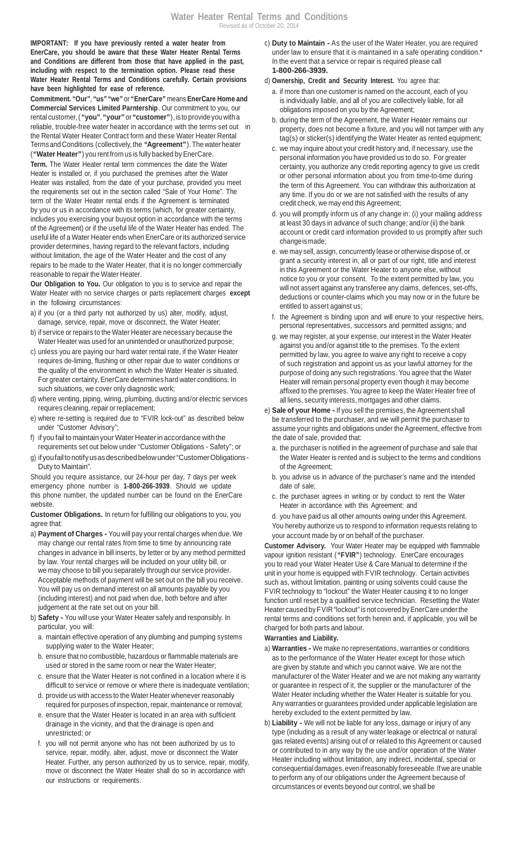**IMPORTANT: If you have previously rented a water heater from EnerCare, you should be aware that these Water Heater Rental Terms and Conditions are different from those that have applied in the past, including with respect to the termination option. Please read these Water Heater Rental Terms and Conditions carefully. Certain provisions have been highlighted for ease of reference.**

**Commitment. "Our"**, **"us" "we"** or **"EnerCare"** means **EnerCare Home and Commercial Services Limited Parntership**. Our commitment to you, our rental customer, ( **"you"**, **"your"** or **"customer"**), is to provide you with a reliable, trouble-free water heater in accordance with the terms set out in the Rental Water Heater Contract form and these Water Heater Rental Termsand Conditions (collectively, the **"Agreement"**). The waterheater (**"Water Heater"**) you rent from us is fully backed by EnerCare.

**Term.** The Water Heater rental term commences the date the Water Heater is installed or, if you purchased the premises after the Water Heater was installed, from the date of your purchase, provided you meet the requirements set out in the section called "Sale of Your Home". The term of the Water Heater rental ends if the Agreement is terminated by you or us in accordance with its terms (which, for greater certainty, includes you exercising your buyout option in accordance with the terms of the Agreement) or if the useful life of the Water Heater has ended. The useful life of a Water Heater ends when EnerCare or its authorized service provider determines, having regard to the relevant factors, including without limitation, the age of the Water Heater and the cost of any repairs to be made to the Water Heater, that it is no longer commercially reasonable to repair the Water Heater.

**Our Obligation to You.** Our obligation to you is to service and repair the Water Heater with no service charges or parts replacement charges **except** in the following circumstances:

- a) if you (or a third party not authorized by us) alter, modify, adjust, damage, service, repair, move or disconnect, the Water Heater;
- b) if service or repairs to the Water Heater are necessary because the Water Heater was used for an unintended or unauthorized purpose;
- c) unless you are paying our hard water rental rate, if the Water Heater requires de-liming, flushing or other repair due to water conditions or the quality of the environment in which the Water Heater is situated. For greater certainty, EnerCare determines hard water conditions. In such situations, we cover only diagnostic work;
- d) where venting, piping, wiring, plumbing, ducting and/or electric services requires cleaning, repair or replacement;
- e) where re-setting is required due to "FVIR lock-out" as described below under "Customer Advisory";
- f) if you fail to maintain your Water Heater in accordance with the requirements set out below under "Customer Obligations - Safety"; or
- g) if you fail to notify us as described below under "Customer Obligations -Duty to Maintain".

Should you require assistance, our 24-hour per day, 7 days per week emergency phone number is **1-800-266-3939**. Should we update this phone number, the updated number can be found on the EnerCare website.

**Customer Obligations.** In return for fulfilling our obligations to you, you agree that:

- a) **Payment of Charges -** You will pay your rental charges when due. We may change our rental rates from time to time by announcing rate changes in advance in bill inserts, by letter or by any method permitted by law. Your rental charges will be included on your utility bill, or we may choose to bill you separately through our service provider. Acceptable methods of payment will be set out on the bill you receive. You will pay us on demand interest on all amounts payable by you (including interest) and not paid when due, both before and after judgement at the rate set out on your bill.
- b) **Safety -** You will use your Water Heater safely and responsibly. In particular, you will:
	- a. maintain effective operation of any plumbing and pumping systems supplying water to the Water Heater;
	- b. ensure that no combustible, hazardous or flammable materials are used or stored in the same room or near the Water Heater;
	- c. ensure that the Water Heater is not confined in a location where it is difficult to service or remove or where there is inadequate ventilation;
	- d. provide us with access to the Water Heater whenever reasonably required for purposes of inspection, repair, maintenance or removal;
	- e. ensure that the Water Heater is located in an area with sufficient drainage in the vicinity, and that the drainage is open and unrestricted; or
	- f. you will not permit anyone who has not been authorized by us to service, repair, modify, alter, adjust, move or disconnect the Water Heater. Further, any person authorized by us to service, repair, modify, move or disconnect the Water Heater shall do so in accordance with our instructions or requirements.
- c) **Duty to Maintain -** As the user of the Water Heater, you are required under law to ensure that it is maintained in a safe operating condition.\* In the event that a service or repair is required please call **1-800-266-3939.**
- d) **Ownership, Credit and Security Interest.** You agree that:
	- a. if more than one customer is named on the account, each of you is individually liable, and all of you are collectively liable, for all obligations imposed on you by the Agreement;
	- b. during the term of the Agreement, the Water Heater remains our property, does not become a fixture, and you will not tamper with any tag(s) or sticker(s) identifying the Water Heater as rented equipment;
	- c. we may inquire about your credit history and, if necessary, use the personal information you have provided us to do so. For greater certainty, you authorize any credit reporting agency to give us credit or other personal information about you from time-to-time during the term of this Agreement. You can withdraw this authorization at any time. If you do or we are not satisfied with the results of any credit check, we may end this Agreement;
	- d. you will promptly inform us of any change in: (i) your mailing address at least 30 days in advance of such change; and/or (ii) the bank account or credit card information provided to us promptly after such changeismade;
	- e. we may sell, assign, concurrently lease or otherwise dispose of, or grant a security interest in, all or part of our right, title and interest in this Agreement or the Water Heater to anyone else, without notice to you or your consent. To the extent permitted by law, you will not assert against any transferee any claims, defences, set-offs, deductions or counter-claims which you may now or in the future be entitled to assert against us;
	- f. the Agreement is binding upon and will enure to your respective heirs, personal representatives, successors and permitted assigns; and
	- g. we may register, at your expense, our interest in the Water Heater against you and/or against title to the premises. To the extent permitted by law, you agree to waive any right to receive a copy of such registration and appoint us as your lawful attorney for the purpose of doing any such registrations. You agree that the Water Heater will remain personal property even though it may become affixed to the premises. You agree to keep the Water Heater free of all liens, security interests, mortgages and other claims.
- e) **Sale of your Home -**If you sell the premises, the Agreement shall be transferred to the purchaser, and we will permit the purchaser to assume your rights and obligations under the Agreement, effective from the date of sale, provided that:
	- a. the purchaser is notified in the agreement of purchase and sale that the Water Heater is rented and is subject to the terms and conditions of the Agreement;
	- b. you advise us in advance of the purchaser's name and the intended date of sale;
	- c. the purchaser agrees in writing or by conduct to rent the Water Heater in accordance with this Agreement; and
	- d. you have paid us all other amounts owing under this Agreement. You hereby authorize us to respond to information requests relating to your account made by or on behalf of the purchaser.

**Customer Advisory.** Your Water Heater may be equipped with flammable vapour ignition resistant ( **"FVIR"**) technology. EnerCare encourages you to read your Water Heater Use & Care Manual to determine if the unit in your home is equipped with FVIR technology. Certain activities such as, without limitation, painting or using solvents could cause the FVIR technology to "lockout" the Water Heater causing it to no longer function until reset by a qualified service technician. Resetting the Water Heater caused by FVIR "lockout" is not covered by EnerCare under the rental terms and conditions set forth herein and, if applicable, you will be charged for both parts and labour.

#### **Warranties and Liability.**

- a) **Warranties -** We make no representations, warranties or conditions as to the performance of the Water Heater except for those which are given by statute and which you cannot waive. We are not the manufacturer of the Water Heater and we are not making any warranty or guarantee in respect of it, the supplier or the manufacturer of the Water Heater including whether the Water Heater is suitable for you. Any warranties or guarantees provided under applicable legislation are hereby excluded to the extent permitted by law.
- b) **Liability -** We will not be liable for any loss, damage or injury of any type (including as a result of any water leakage or electrical or natural gas related events) arising out of or related to this Agreement or caused or contributed to in any way by the use and/or operation of the Water Heater including without limitation, any indirect, incidental, special or consequential damages, evenifreasonably foreseeable.If we are unable to perform any of our obligations under the Agreement because of circumstances or events beyond our control, we shall be